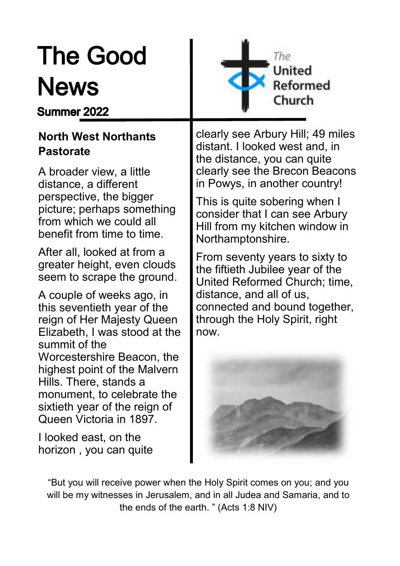# **The Good News**

### Summer 2022

### **North West Northants Pastorate**

A broader view, a little distance, a different perspective, the bigger picture; perhaps something from which we could all benefit from time to time.

After all, looked at from a greater height, even clouds seem to scrape the ground.

A couple of weeks ago, in this seventieth year of the reign of Her Majesty Queen Elizabeth, I was stood at the summit of the Worcestershire Beacon, the highest point of the Malvern Hills. There, stands a monument, to celebrate the sixtieth year of the reign of Queen Victoria in 1897.

I looked east, on the horizon , you can quite



clearly see Arbury Hill; 49 miles distant. I looked west and, in the distance, you can quite clearly see the Brecon Beacons in Powys, in another country!

This is quite sobering when I consider that I can see Arbury Hill from my kitchen window in Northamptonshire.

From seventy years to sixty to the fiftieth Jubilee year of the United Reformed Church; time, distance, and all of us, connected and bound together, through the Holy Spirit, right now.



"But you will receive power when the Holy Spirit comes on you; and you will be my witnesses in Jerusalem, and in all Judea and Samaria, and to the ends of the earth. " (Acts 1:8 NIV)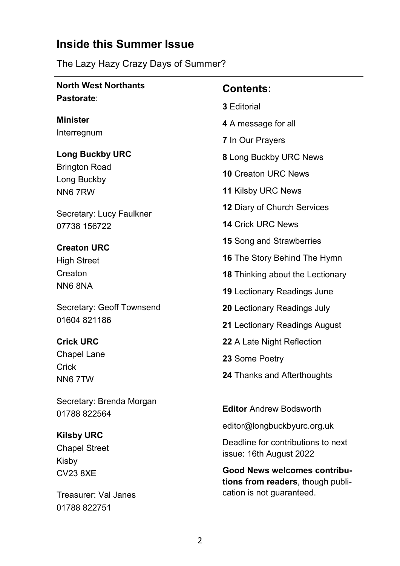### **Inside this Summer Issue**

The Lazy Hazy Crazy Days of Summer?

| <b>North West Northants</b><br>Pastorate: | <b>Contents:</b>                                                         |  |
|-------------------------------------------|--------------------------------------------------------------------------|--|
|                                           | <b>3 Fditorial</b>                                                       |  |
| Minister                                  | 4 A message for all                                                      |  |
| Interregnum                               | 7 In Our Prayers                                                         |  |
| <b>Long Buckby URC</b>                    | 8 Long Buckby URC News                                                   |  |
| Brington Road                             | 10 Creaton URC News                                                      |  |
| Long Buckby<br>NN6 7RW                    | 11 Kilsby URC News                                                       |  |
|                                           | 12 Diary of Church Services                                              |  |
| Secretary: Lucy Faulkner<br>07738 156722  | <b>14 Crick URC News</b>                                                 |  |
|                                           | <b>15 Song and Strawberries</b>                                          |  |
| <b>Creaton URC</b><br>High Street         | <b>16</b> The Story Behind The Hymn                                      |  |
| Creaton                                   | <b>18 Thinking about the Lectionary</b>                                  |  |
| NN6 8NA                                   | <b>19 Lectionary Readings June</b>                                       |  |
| Secretary: Geoff Townsend                 | 20 Lectionary Readings July                                              |  |
| 01604 821186                              | 21 Lectionary Readings August                                            |  |
| <b>Crick URC</b>                          | 22 A Late Night Reflection                                               |  |
| Chapel Lane                               | 23 Some Poetry                                                           |  |
| Crick<br>NN6 7TW                          | 24 Thanks and Afterthoughts                                              |  |
| Secretary: Brenda Morgan                  |                                                                          |  |
| 01788 822564                              | <b>Editor Andrew Bodsworth</b>                                           |  |
|                                           | editor@longbuckbyurc.org.uk                                              |  |
| Kilsby URC<br><b>Chapel Street</b>        | Deadline for contributions to next<br>issue: 16th August 2022            |  |
| Kisby<br><b>CV23 8XE</b>                  | <b>Good News welcomes contribu-</b><br>tions from readers, though publi- |  |
| Treasurer: Val Janes                      | cation is not guaranteed.                                                |  |

01788 822751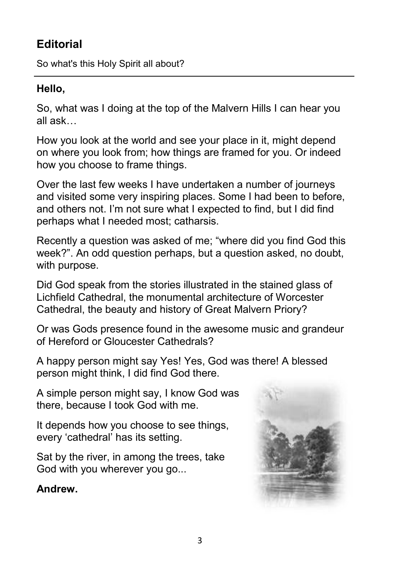### **Editorial**

So what's this Holy Spirit all about?

### **Hello,**

So, what was I doing at the top of the Malvern Hills I can hear you all ask…

How you look at the world and see your place in it, might depend on where you look from; how things are framed for you. Or indeed how you choose to frame things.

Over the last few weeks I have undertaken a number of journeys and visited some very inspiring places. Some I had been to before, and others not. I'm not sure what I expected to find, but I did find perhaps what I needed most; catharsis.

Recently a question was asked of me; "where did you find God this week?". An odd question perhaps, but a question asked, no doubt, with purpose.

Did God speak from the stories illustrated in the stained glass of Lichfield Cathedral, the monumental architecture of Worcester Cathedral, the beauty and history of Great Malvern Priory?

Or was Gods presence found in the awesome music and grandeur of Hereford or Gloucester Cathedrals?

A happy person might say Yes! Yes, God was there! A blessed person might think, I did find God there.

A simple person might say, I know God was there, because I took God with me.

It depends how you choose to see things, every 'cathedral' has its setting.

Sat by the river, in among the trees, take God with you wherever you go...

### **Andrew.**

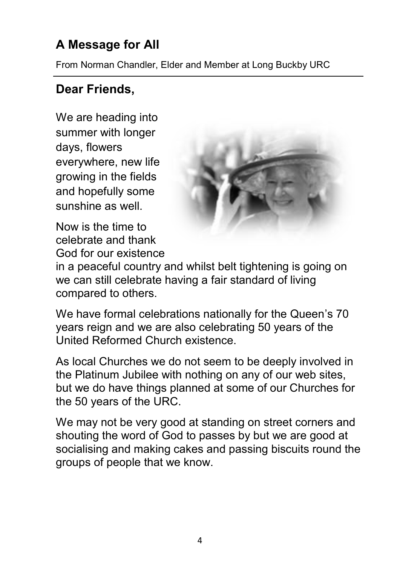### **A Message for All**

From Norman Chandler, Elder and Member at Long Buckby URC

### **Dear Friends,**

We are heading into summer with longer days, flowers everywhere, new life growing in the fields and hopefully some sunshine as well.

Now is the time to celebrate and thank God for our existence



in a peaceful country and whilst belt tightening is going on we can still celebrate having a fair standard of living compared to others.

We have formal celebrations nationally for the Queen's 70 years reign and we are also celebrating 50 years of the United Reformed Church existence.

As local Churches we do not seem to be deeply involved in the Platinum Jubilee with nothing on any of our web sites, but we do have things planned at some of our Churches for the 50 years of the URC.

We may not be very good at standing on street corners and shouting the word of God to passes by but we are good at socialising and making cakes and passing biscuits round the groups of people that we know.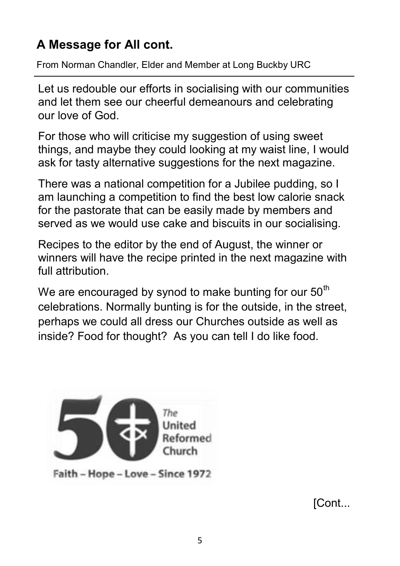### **A Message for All cont.**

From Norman Chandler, Elder and Member at Long Buckby URC

Let us redouble our efforts in socialising with our communities and let them see our cheerful demeanours and celebrating our love of God.

For those who will criticise my suggestion of using sweet things, and maybe they could looking at my waist line, I would ask for tasty alternative suggestions for the next magazine.

There was a national competition for a Jubilee pudding, so I am launching a competition to find the best low calorie snack for the pastorate that can be easily made by members and served as we would use cake and biscuits in our socialising.

Recipes to the editor by the end of August, the winner or winners will have the recipe printed in the next magazine with full attribution.

We are encouraged by synod to make bunting for our  $50<sup>th</sup>$ celebrations. Normally bunting is for the outside, in the street, perhaps we could all dress our Churches outside as well as inside? Food for thought? As you can tell I do like food.



[Cont...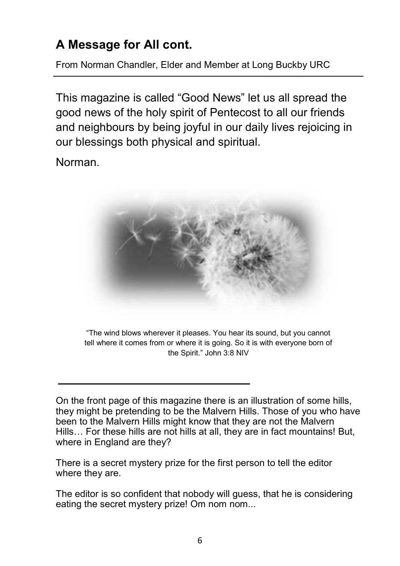### **A Message for All cont.**

From Norman Chandler, Elder and Member at Long Buckby URC

This magazine is called "Good News" let us all spread the good news of the holy spirit of Pentecost to all our friends and neighbours by being joyful in our daily lives rejoicing in our blessings both physical and spiritual.

Norman.



"The wind blows wherever it pleases. You hear its sound, but you cannot tell where it comes from or where it is going. So it is with everyone born of the Spirit." John 3:8 NIV

On the front page of this magazine there is an illustration of some hills, they might be pretending to be the Malvern Hills. Those of you who have been to the Malvern Hills might know that they are not the Malvern Hills… For these hills are not hills at all, they are in fact mountains! But, where in England are they?

There is a secret mystery prize for the first person to tell the editor where they are.

The editor is so confident that nobody will guess, that he is considering eating the secret mystery prize! Om nom nom...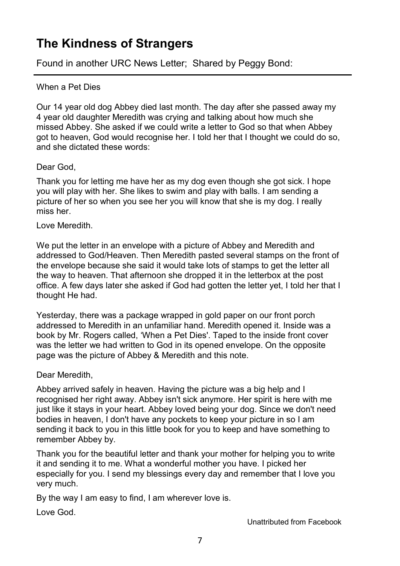### **The Kindness of Strangers**

Found in another URC News Letter; Shared by Peggy Bond:

#### When a Pet Dies

Our 14 year old dog Abbey died last month. The day after she passed away my 4 year old daughter Meredith was crying and talking about how much she missed Abbey. She asked if we could write a letter to God so that when Abbey got to heaven, God would recognise her. I told her that I thought we could do so, and she dictated these words:

#### Dear God,

Thank you for letting me have her as my dog even though she got sick. I hope you will play with her. She likes to swim and play with balls. I am sending a picture of her so when you see her you will know that she is my dog. I really miss her.

#### Love Meredith.

We put the letter in an envelope with a picture of Abbey and Meredith and addressed to God/Heaven. Then Meredith pasted several stamps on the front of the envelope because she said it would take lots of stamps to get the letter all the way to heaven. That afternoon she dropped it in the letterbox at the post office. A few days later she asked if God had gotten the letter yet, I told her that I thought He had.

Yesterday, there was a package wrapped in gold paper on our front porch addressed to Meredith in an unfamiliar hand. Meredith opened it. Inside was a book by Mr. Rogers called, 'When a Pet Dies'. Taped to the inside front cover was the letter we had written to God in its opened envelope. On the opposite page was the picture of Abbey & Meredith and this note.

#### Dear Meredith,

Abbey arrived safely in heaven. Having the picture was a big help and I recognised her right away. Abbey isn't sick anymore. Her spirit is here with me just like it stays in your heart. Abbey loved being your dog. Since we don't need bodies in heaven, I don't have any pockets to keep your picture in so I am sending it back to you in this little book for you to keep and have something to remember Abbey by.

Thank you for the beautiful letter and thank your mother for helping you to write it and sending it to me. What a wonderful mother you have. I picked her especially for you. I send my blessings every day and remember that I love you very much.

By the way I am easy to find, I am wherever love is.

Love God.

Unattributed from Facebook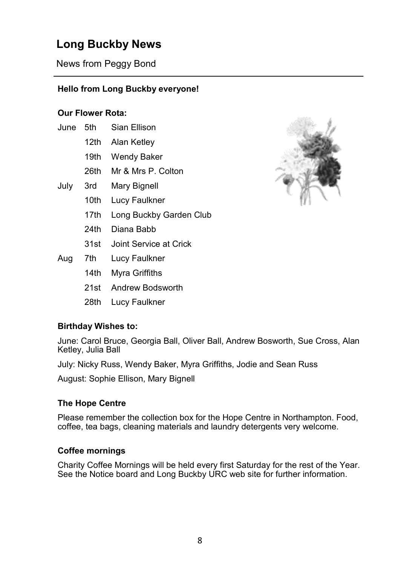### **Long Buckby News**

News from Peggy Bond

#### **Hello from Long Buckby everyone!**

#### **Our Flower Rota:**

- June 5th Sian Ellison
	- 12th Alan Ketley
	- 19th Wendy Baker
	- 26th Mr & Mrs P. Colton
- July 3rd Mary Bignell
	- 10th Lucy Faulkner
	- 17th Long Buckby Garden Club
	- 24th Diana Babb
	- 31st Joint Service at Crick
- Aug 7th Lucy Faulkner
	- 14th Myra Griffiths
	- 21st Andrew Bodsworth
	- 28th Lucy Faulkner

#### **Birthday Wishes to:**

June: Carol Bruce, Georgia Ball, Oliver Ball, Andrew Bosworth, Sue Cross, Alan Ketley, Julia Ball

July: Nicky Russ, Wendy Baker, Myra Griffiths, Jodie and Sean Russ

August: Sophie Ellison, Mary Bignell

#### **The Hope Centre**

Please remember the collection box for the Hope Centre in Northampton. Food, coffee, tea bags, cleaning materials and laundry detergents very welcome.

#### **Coffee mornings**

Charity Coffee Mornings will be held every first Saturday for the rest of the Year. See the Notice board and Long Buckby URC web site for further information.

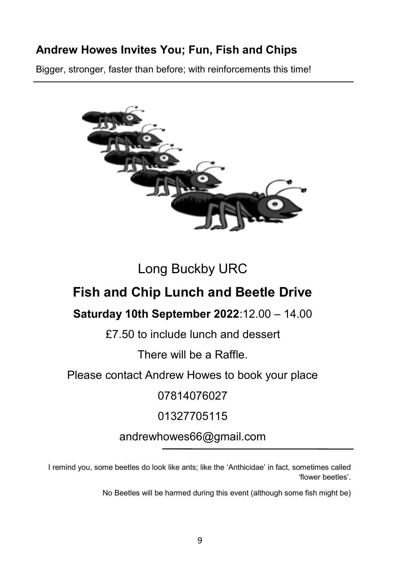### **Andrew Howes Invites You; Fun, Fish and Chips**

Bigger, stronger, faster than before; with reinforcements this time!



### Long Buckby URC

### **Fish and Chip Lunch and Beetle Drive**

### **Saturday 10th September 2022**:12.00 – 14.00

£7.50 to include lunch and dessert

There will be a Raffle.

Please contact Andrew Howes to book your place

07814076027

01327705115

andrewhowes66@gmail.com

I remind you, some beetles do look like ants; like the 'Anthicidae' in fact, sometimes called 'flower beetles'.

No Beetles will be harmed during this event (although some fish might be)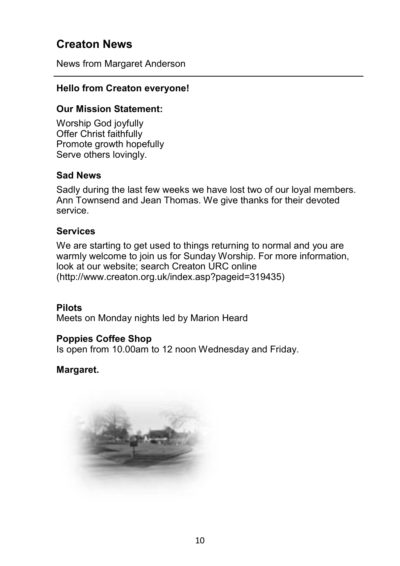### **Creaton News**

News from Margaret Anderson

#### **Hello from Creaton everyone!**

#### **Our Mission Statement:**

Worship God joyfully Offer Christ faithfully Promote growth hopefully Serve others lovingly.

#### **Sad News**

Sadly during the last few weeks we have lost two of our loyal members. Ann Townsend and Jean Thomas. We give thanks for their devoted service.

#### **Services**

We are starting to get used to things returning to normal and you are warmly welcome to join us for Sunday Worship. For more information, look at our website; search Creaton URC online (http://www.creaton.org.uk/index.asp?pageid=319435)

#### **Pilots**

Meets on Monday nights led by Marion Heard

#### **Poppies Coffee Shop**

Is open from 10.00am to 12 noon Wednesday and Friday.

#### **Margaret.**

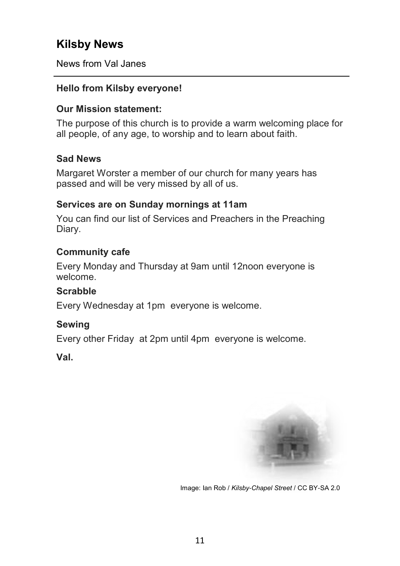### **Kilsby News**

News from Val Janes

#### **Hello from Kilsby everyone!**

#### **Our Mission statement:**

The purpose of this church is to provide a warm welcoming place for all people, of any age, to worship and to learn about faith.

#### **Sad News**

Margaret Worster a member of our church for many years has passed and will be very missed by all of us.

#### **Services are on Sunday mornings at 11am**

You can find our list of Services and Preachers in the Preaching Diary.

#### **Community cafe**

Every Monday and Thursday at 9am until 12noon everyone is welcome.

#### **Scrabble**

Every Wednesday at 1pm everyone is welcome.

#### **Sewing**

Every other Friday at 2pm until 4pm everyone is welcome.

**Val.**



Image: Ian Rob / *Kilsby-Chapel Street* / CC BY-SA 2.0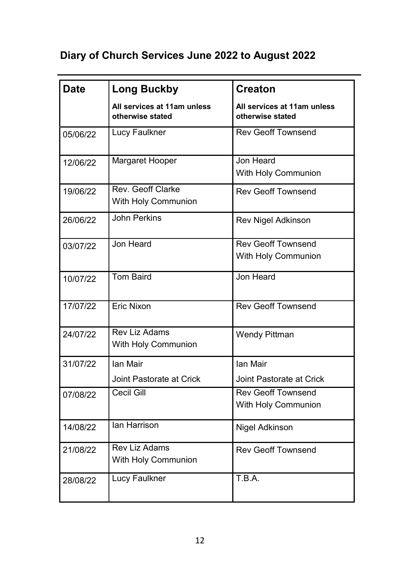### **Diary of Church Services June 2022 to August 2022**

| <b>Date</b> | <b>Long Buckby</b>                              | <b>Creaton</b>                                   |
|-------------|-------------------------------------------------|--------------------------------------------------|
|             | All services at 11am unless<br>otherwise stated | All services at 11am unless<br>otherwise stated  |
| 05/06/22    | Lucy Faulkner                                   | <b>Rev Geoff Townsend</b>                        |
| 12/06/22    | Margaret Hooper                                 | Jon Heard<br>With Holy Communion                 |
| 19/06/22    | Rev. Geoff Clarke<br>With Holy Communion        | <b>Rev Geoff Townsend</b>                        |
| 26/06/22    | John Perkins                                    | Rev Nigel Adkinson                               |
| 03/07/22    | Jon Heard                                       | <b>Rev Geoff Townsend</b><br>With Holy Communion |
| 10/07/22    | <b>Tom Baird</b>                                | Jon Heard                                        |
| 17/07/22    | <b>Eric Nixon</b>                               | <b>Rev Geoff Townsend</b>                        |
| 24/07/22    | <b>Rev Liz Adams</b><br>With Holy Communion     | <b>Wendy Pittman</b>                             |
| 31/07/22    | lan Mair                                        | Ian Mair                                         |
|             | Joint Pastorate at Crick                        | Joint Pastorate at Crick                         |
| 07/08/22    | Cecil Gill                                      | <b>Rev Geoff Townsend</b><br>With Holy Communion |
| 14/08/22    | lan Harrison                                    | Nigel Adkinson                                   |
| 21/08/22    | <b>Rev Liz Adams</b><br>With Holy Communion     | <b>Rev Geoff Townsend</b>                        |
| 28/08/22    | Lucy Faulkner                                   | T.B.A.                                           |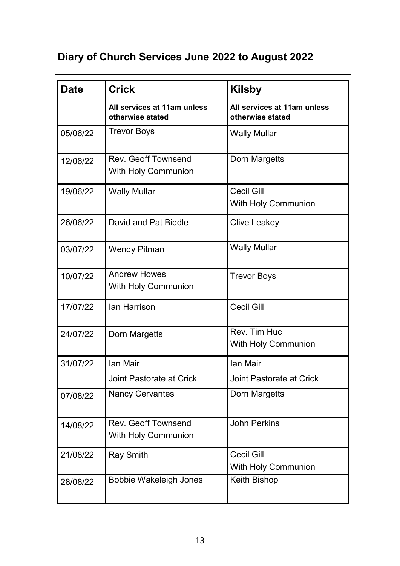### **Diary of Church Services June 2022 to August 2022**

| <b>Date</b> | <b>Crick</b>                                    | <b>Kilsby</b>                                   |
|-------------|-------------------------------------------------|-------------------------------------------------|
|             | All services at 11am unless<br>otherwise stated | All services at 11am unless<br>otherwise stated |
| 05/06/22    | <b>Trevor Boys</b>                              | <b>Wally Mullar</b>                             |
| 12/06/22    | Rev. Geoff Townsend<br>With Holy Communion      | Dorn Margetts                                   |
| 19/06/22    | <b>Wally Mullar</b>                             | Cecil Gill<br>With Holy Communion               |
| 26/06/22    | David and Pat Biddle                            | Clive Leakey                                    |
| 03/07/22    | <b>Wendy Pitman</b>                             | <b>Wally Mullar</b>                             |
| 10/07/22    | <b>Andrew Howes</b><br>With Holy Communion      | <b>Trevor Boys</b>                              |
| 17/07/22    | lan Harrison                                    | Cecil Gill                                      |
| 24/07/22    | Dorn Margetts                                   | Rev. Tim Huc<br>With Holy Communion             |
| 31/07/22    | lan Mair                                        | Ian Mair                                        |
|             | Joint Pastorate at Crick                        | Joint Pastorate at Crick                        |
| 07/08/22    | Nancy Cervantes                                 | Dorn Margetts                                   |
| 14/08/22    | Rev. Geoff Townsend<br>With Holy Communion      | <b>John Perkins</b>                             |
| 21/08/22    | Ray Smith                                       | Cecil Gill<br>With Holy Communion               |
| 28/08/22    | Bobbie Wakeleigh Jones                          | Keith Bishop                                    |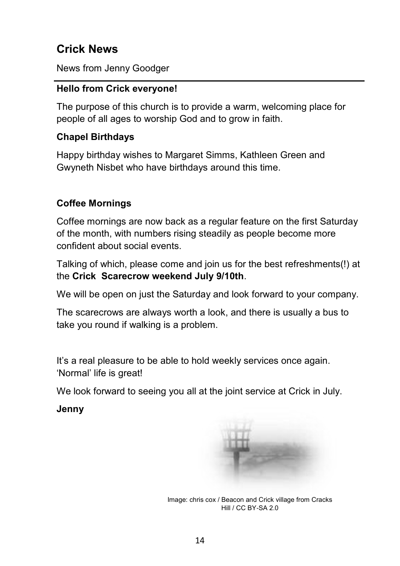### **Crick News**

News from Jenny Goodger

#### **Hello from Crick everyone!**

The purpose of this church is to provide a warm, welcoming place for people of all ages to worship God and to grow in faith.

#### **Chapel Birthdays**

Happy birthday wishes to Margaret Simms, Kathleen Green and Gwyneth Nisbet who have birthdays around this time.

#### **Coffee Mornings**

Coffee mornings are now back as a regular feature on the first Saturday of the month, with numbers rising steadily as people become more confident about social events.

Talking of which, please come and join us for the best refreshments(!) at the **Crick Scarecrow weekend July 9/10th**.

We will be open on just the Saturday and look forward to your company.

The scarecrows are always worth a look, and there is usually a bus to take you round if walking is a problem.

It's a real pleasure to be able to hold weekly services once again. 'Normal' life is great!

We look forward to seeing you all at the joint service at Crick in July.

#### **Jenny**



Image: chris cox / Beacon and Crick village from Cracks Hill / CC BY-SA 2.0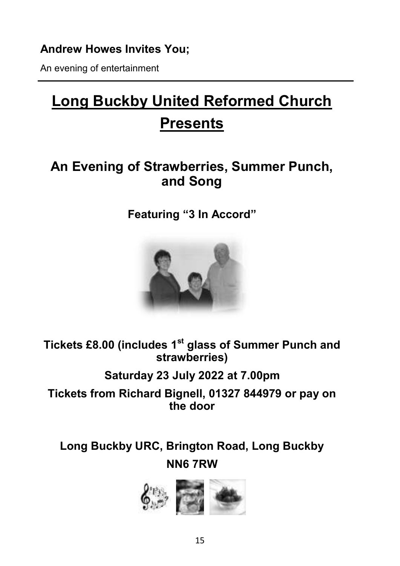### **Andrew Howes Invites You;**

An evening of entertainment

## **Long Buckby United Reformed Church Presents**

### **An Evening of Strawberries, Summer Punch, and Song**

**Featuring "3 In Accord"**



**Tickets £8.00 (includes 1st glass of Summer Punch and strawberries)**

**Saturday 23 July 2022 at 7.00pm**

**Tickets from Richard Bignell, 01327 844979 or pay on the door**

**Long Buckby URC, Brington Road, Long Buckby NN6 7RW**

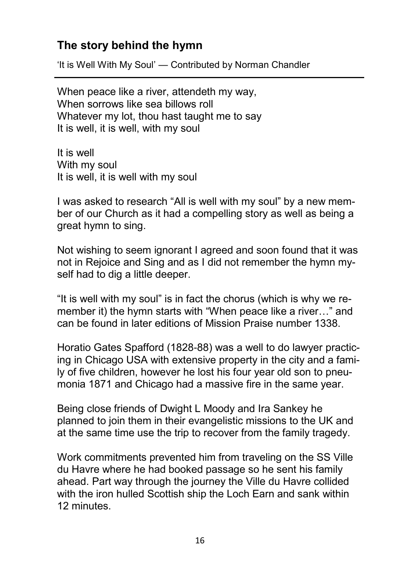### **The story behind the hymn**

'It is Well With My Soul' — Contributed by Norman Chandler

When peace like a river, attendeth my way. When sorrows like sea billows roll Whatever my lot, thou hast taught me to say It is well, it is well, with my soul

It is well With my soul It is well, it is well with my soul

I was asked to research "All is well with my soul" by a new member of our Church as it had a compelling story as well as being a great hymn to sing.

Not wishing to seem ignorant I agreed and soon found that it was not in Rejoice and Sing and as I did not remember the hymn myself had to dig a little deeper.

"It is well with my soul" is in fact the chorus (which is why we remember it) the hymn starts with "When peace like a river…" and can be found in later editions of Mission Praise number 1338.

Horatio Gates Spafford (1828-88) was a well to do lawyer practicing in Chicago USA with extensive property in the city and a family of five children, however he lost his four year old son to pneumonia 1871 and Chicago had a massive fire in the same year.

Being close friends of Dwight L Moody and Ira Sankey he planned to join them in their evangelistic missions to the UK and at the same time use the trip to recover from the family tragedy.

Work commitments prevented him from traveling on the SS Ville du Havre where he had booked passage so he sent his family ahead. Part way through the journey the Ville du Havre collided with the iron hulled Scottish ship the Loch Earn and sank within 12 minutes.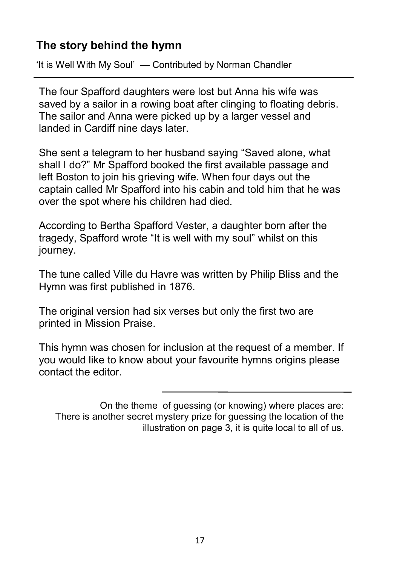### **The story behind the hymn**

'It is Well With My Soul' — Contributed by Norman Chandler

The four Spafford daughters were lost but Anna his wife was saved by a sailor in a rowing boat after clinging to floating debris. The sailor and Anna were picked up by a larger vessel and landed in Cardiff nine days later.

She sent a telegram to her husband saying "Saved alone, what shall I do?" Mr Spafford booked the first available passage and left Boston to join his grieving wife. When four days out the captain called Mr Spafford into his cabin and told him that he was over the spot where his children had died.

According to Bertha Spafford Vester, a daughter born after the tragedy, Spafford wrote "It is well with my soul" whilst on this journey.

The tune called Ville du Havre was written by Philip Bliss and the Hymn was first published in 1876.

The original version had six verses but only the first two are printed in Mission Praise.

This hymn was chosen for inclusion at the request of a member. If you would like to know about your favourite hymns origins please contact the editor.

On the theme of guessing (or knowing) where places are: There is another secret mystery prize for guessing the location of the illustration on page 3, it is quite local to all of us.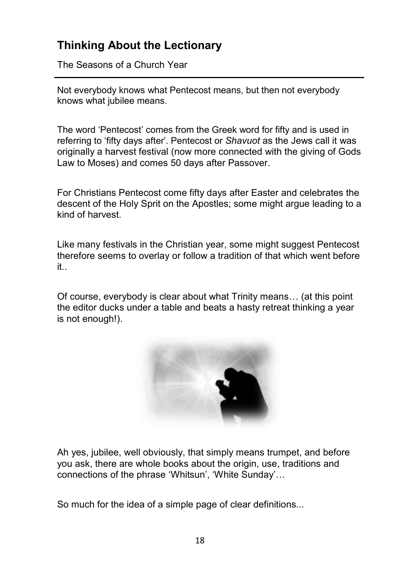### **Thinking About the Lectionary**

The Seasons of a Church Year

Not everybody knows what Pentecost means, but then not everybody knows what jubilee means.

The word 'Pentecost' comes from the Greek word for fifty and is used in referring to 'fifty days after'. Pentecost or *Shavuot* as the Jews call it was originally a harvest festival (now more connected with the giving of Gods Law to Moses) and comes 50 days after Passover.

For Christians Pentecost come fifty days after Easter and celebrates the descent of the Holy Sprit on the Apostles; some might argue leading to a kind of harvest.

Like many festivals in the Christian year, some might suggest Pentecost therefore seems to overlay or follow a tradition of that which went before it..

Of course, everybody is clear about what Trinity means… (at this point the editor ducks under a table and beats a hasty retreat thinking a year is not enough!).



Ah yes, jubilee, well obviously, that simply means trumpet, and before you ask, there are whole books about the origin, use, traditions and connections of the phrase 'Whitsun', 'White Sunday'…

So much for the idea of a simple page of clear definitions...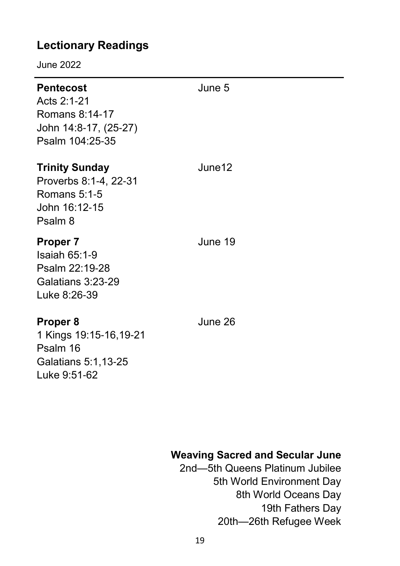### **Lectionary Readings**

June 2022

### **Pentecost** June 5

Acts 2:1-21 Romans 8:14-17 John 14:8-17, (25-27) Psalm 104:25-35

#### **Trinity Sunday** June12

Proverbs 8:1-4, 22-31 Romans 5:1-5 John 16:12-15 Psalm 8

#### **Proper 7** June 19

Isaiah 65:1-9 Psalm 22:19-28 Galatians 3:23-29 Luke 8:26-39

### **Proper 8** June 26

1 Kings 19:15-16,19-21 Psalm 16 Galatians 5:1,13-25 Luke 9:51-62

### **Weaving Sacred and Secular June**

2nd—5th Queens Platinum Jubilee 5th World Environment Day 8th World Oceans Day 19th Fathers Day 20th—26th Refugee Week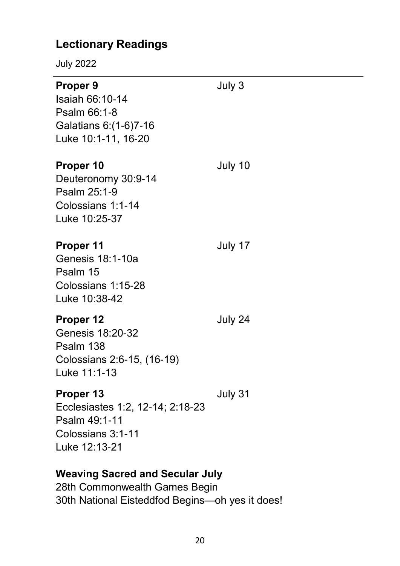### **Lectionary Readings**

July 2022

| Proper 9<br>Isaiah 66:10-14<br>Psalm 66:1-8<br>Galatians 6: (1-6) 7-16<br>Luke 10:1-11, 16-20        | July 3  |
|------------------------------------------------------------------------------------------------------|---------|
| Proper 10<br>Deuteronomy 30:9-14<br>Psalm 25:1-9<br>Colossians 1:1-14<br>Luke 10:25-37               | July 10 |
| Proper 11<br>Genesis 18:1-10a<br>Psalm 15<br>Colossians 1:15-28<br>Luke 10:38-42                     | July 17 |
| Proper 12<br>Genesis 18:20-32<br>Psalm 138<br>Colossians 2:6-15, (16-19)<br>Luke 11:1-13             | July 24 |
| Proper 13<br>Ecclesiastes 1:2, 12-14; 2:18-23<br>Psalm 49:1-11<br>Colossians 3:1-11<br>Luke 12:13-21 | July 31 |

### **Weaving Sacred and Secular July**

28th Commonwealth Games Begin 30th National Eisteddfod Begins—oh yes it does!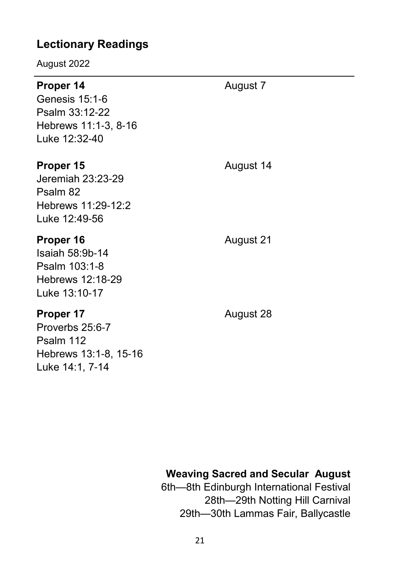### **Lectionary Readings**

August 2022

### **Proper 14** August 7 Genesis 15:1-6

Psalm 33:12-22 Hebrews 11:1-3, 8-16 Luke 12:32-40

### **Proper 15** August 14

Jeremiah 23:23-29 Psalm 82 Hebrews 11:29-12:2 Luke 12:49-56

### **Proper 16** August 21

Isaiah 58:9b-14 Psalm 103:1-8 Hebrews 12:18-29 Luke 13:10-17

### **Proper 17** August 28

Proverbs 25:6-7 Psalm 112 Hebrews 13:1-8, 15-16 Luke 14:1, 7-14

### **Weaving Sacred and Secular August**

6th—8th Edinburgh International Festival 28th—29th Notting Hill Carnival 29th—30th Lammas Fair, Ballycastle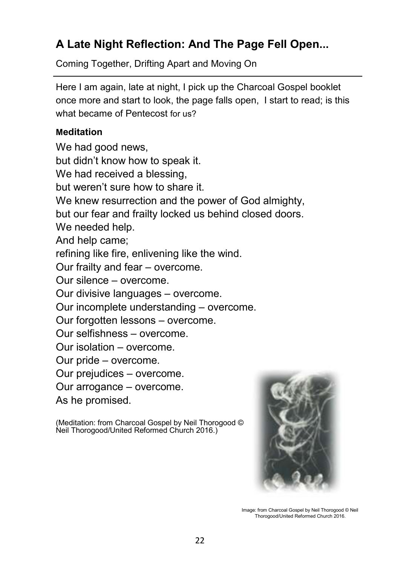### **A Late Night Reflection: And The Page Fell Open...**

Coming Together, Drifting Apart and Moving On

Here I am again, late at night, I pick up the Charcoal Gospel booklet once more and start to look, the page falls open, I start to read; is this what became of Pentecost for us?

#### **Meditation**

We had good news, but didn't know how to speak it. We had received a blessing. but weren't sure how to share it. We knew resurrection and the power of God almighty. but our fear and frailty locked us behind closed doors. We needed help. And help came; refining like fire, enlivening like the wind. Our frailty and fear – overcome. Our silence – overcome. Our divisive languages – overcome. Our incomplete understanding – overcome. Our forgotten lessons – overcome. Our selfishness – overcome. Our isolation – overcome. Our pride – overcome. Our prejudices – overcome. Our arrogance – overcome. As he promised.

(Meditation: from Charcoal Gospel by Neil Thorogood © Neil Thorogood/United Reformed Church 2016.)



Image: from Charcoal Gospel by Neil Thorogood © Neil Thorogood/United Reformed Church 2016.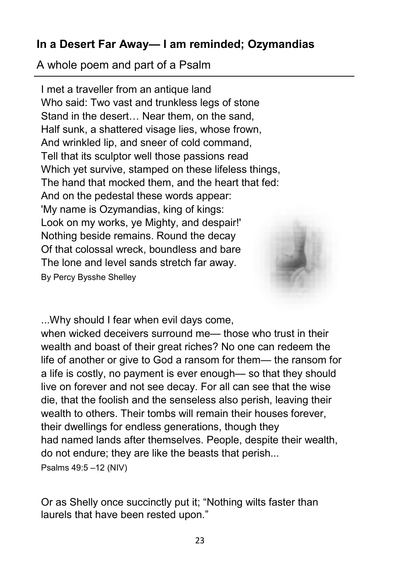### **In a Desert Far Away— I am reminded; Ozymandias**

A whole poem and part of a Psalm

I met a traveller from an antique land Who said: Two vast and trunkless legs of stone Stand in the desert… Near them, on the sand, Half sunk, a shattered visage lies, whose frown, And wrinkled lip, and sneer of cold command, Tell that its sculptor well those passions read Which yet survive, stamped on these lifeless things, The hand that mocked them, and the heart that fed: And on the pedestal these words appear: 'My name is Ozymandias, king of kings: Look on my works, ye Mighty, and despair!' Nothing beside remains. Round the decay Of that colossal wreck, boundless and bare The lone and level sands stretch far away. By Percy Bysshe Shelley



...Why should I fear when evil days come,

when wicked deceivers surround me— those who trust in their wealth and boast of their great riches? No one can redeem the life of another or give to God a ransom for them— the ransom for a life is costly, no payment is ever enough— so that they should live on forever and not see decay. For all can see that the wise die, that the foolish and the senseless also perish, leaving their wealth to others. Their tombs will remain their houses forever, their dwellings for endless generations, though they had named lands after themselves. People, despite their wealth, do not endure; they are like the beasts that perish... Psalms 49:5 –12 (NIV)

Or as Shelly once succinctly put it; "Nothing wilts faster than laurels that have been rested upon."